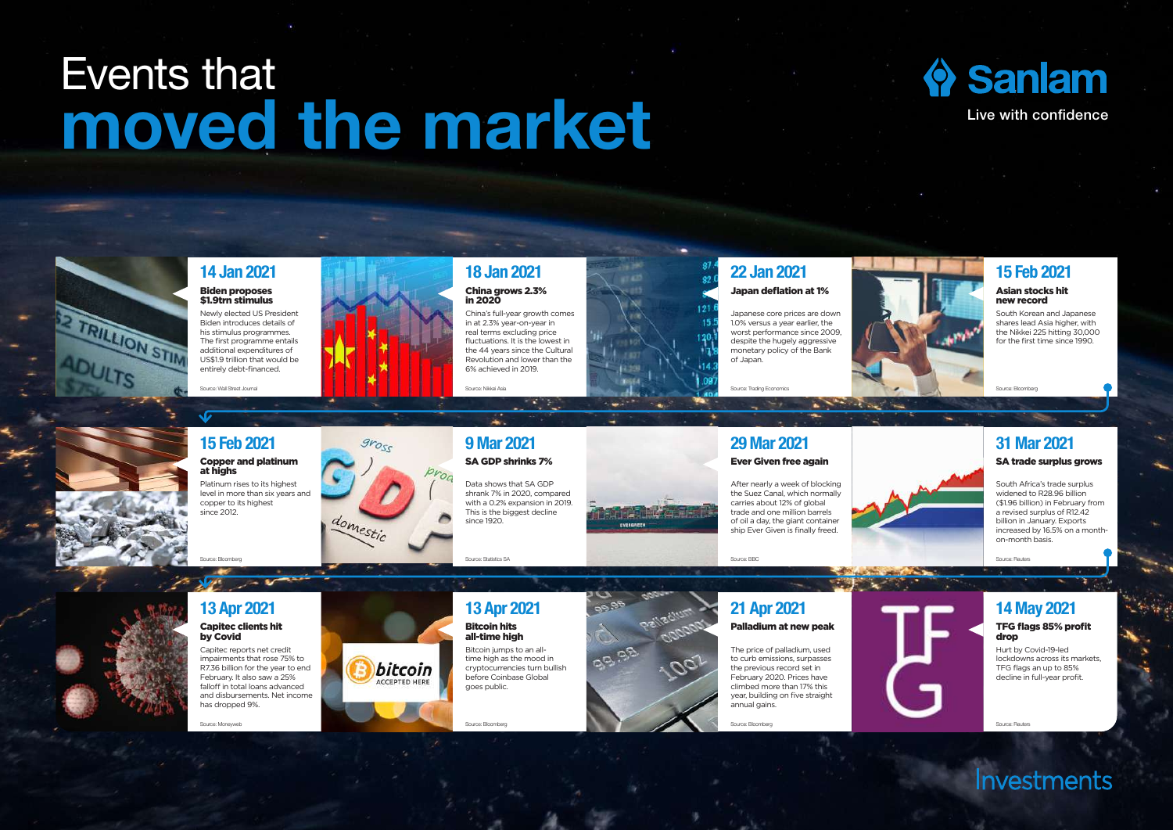## Events that Events that **Constant of the market Contains and Sanlam Constant Contains (Park Confidence**







Investments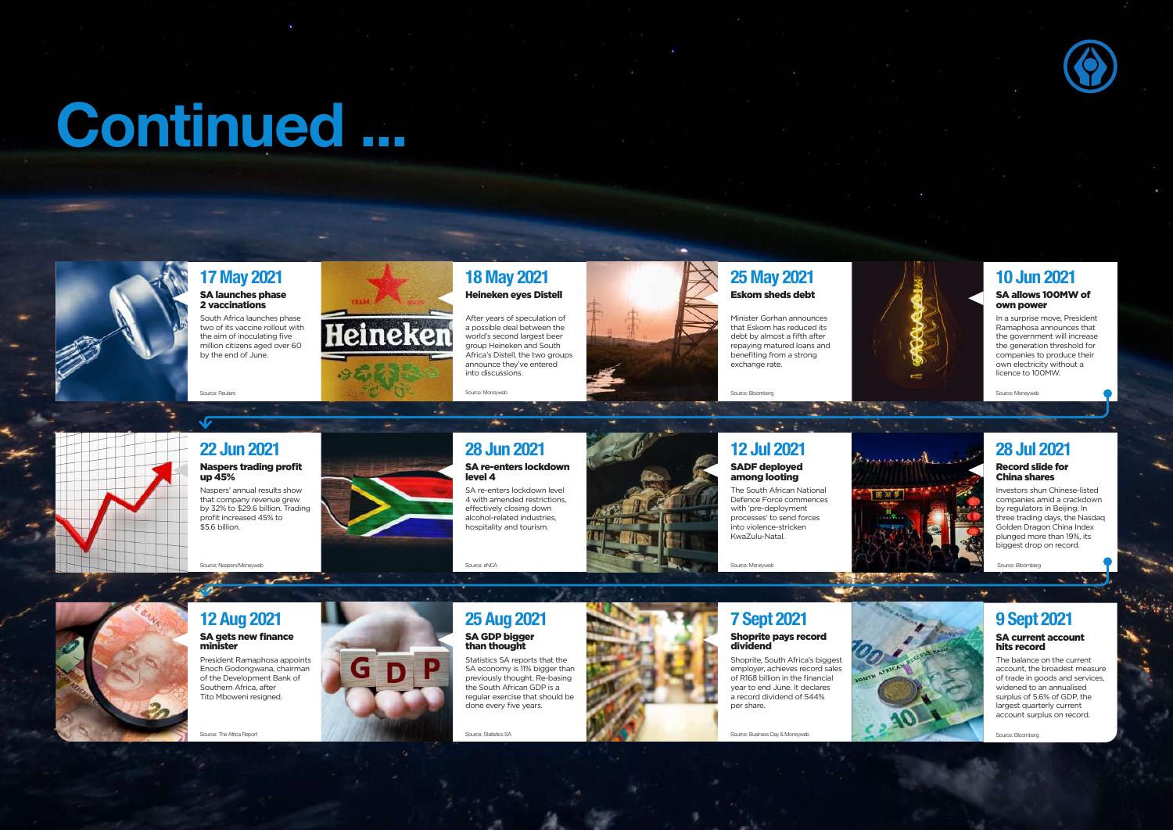# Continued ...



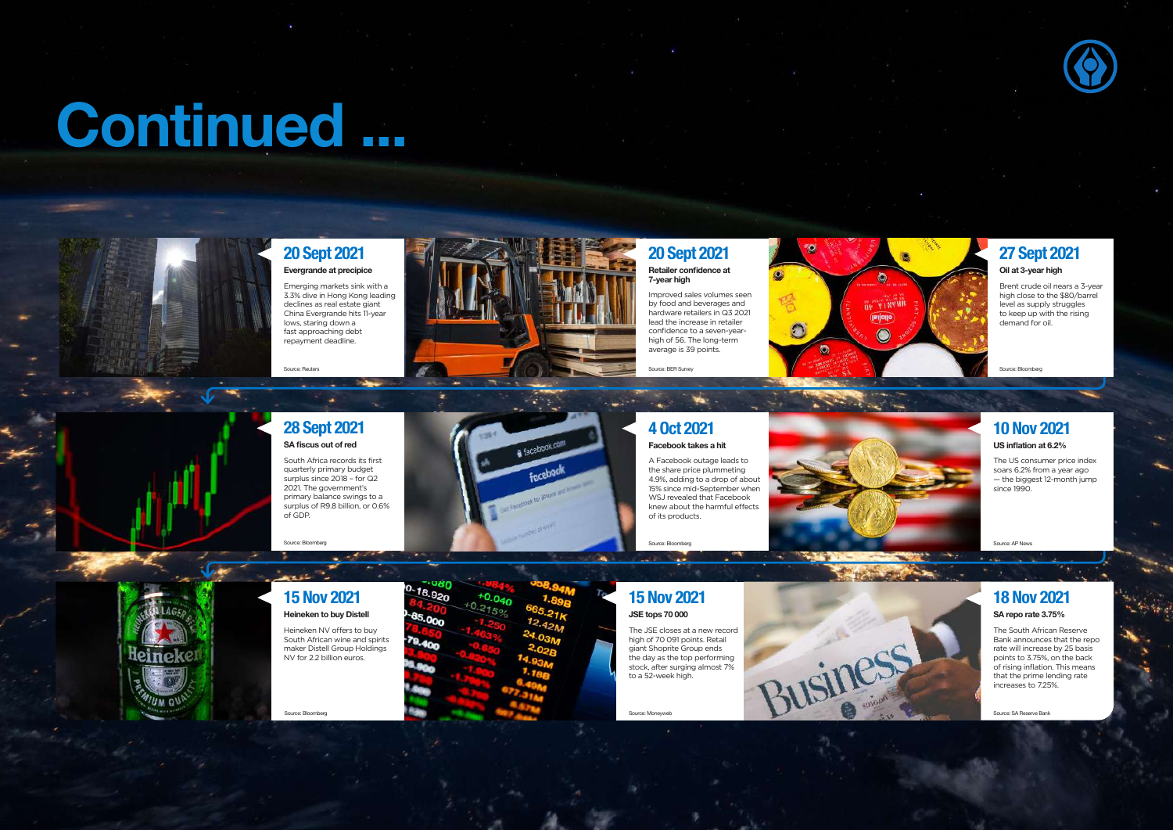# Continued ...



### 20 Sept 2021 Evergrande at precipice

Emerging markets sink with a 3.3% dive in Hong Kong leading declines as real estate giant China Evergrande hits 11-year lows, staring down a fast approaching debt repayment deadline.

Source: Reuters



## 20 Sept 2021

Retailer confidence at 7-year high

Improved sales volumes seen by food and beverages and hardware retailers in Q3 2021 lead the increase in retailer confidence to a seven-yearhigh of 56. The long-term average is 39 points.

Source: BER Survey



27 Sept 2021

#### Oil at 3-year high

Brent crude oil nears a 3-year high close to the \$80/barrel level as supply struggles to keep up with the rising demand for oil.

Source: Bloomberg



#### 28 Sept 2021 SA fiscus out of red

South Africa records its first quarterly primary budget surplus since 2018 – for Q2 2021. The government's primary balance swings to a surplus of R9.8 billion, or 0.6% of GDP.

Source: Bloomberg



### 4 Oct 2021 Facebook takes a hit

A Facebook outage leads to the share price plummeting 4.9%, adding to a drop of about 15% since mid-September when WSJ revealed that Facebook knew about the harmful effects of its products.

Source: Bloomberg



#### 10 Nov 2021 US inflation at 6.2%

The US consumer price index soars 6.2% from a year ago — the biggest 12-month jump since 1990.

Source: AP News

#### 15 Nov 2021 Heineken to buy Distell

Heineken NV offers to buy

South African wine and spirits maker Distell Group Holdings NV for 2.2 billion euros.

Source: Bloomberg



#### 15 Nov 2021 JSE tops 70 000

The JSE closes at a new record high of 70 091 points. Retail giant Shoprite Group ends the day as the top performing stock, after surging almost 7% to a 52-week high.

Source: Moneyweb

18 Nov 2021 SA repo rate 3.75% The South African Reserve Business

Bank announces that the repo rate will increase by 25 basis points to 3.75%, on the back of rising inflation. This means that the prime lending rate increases to 7.25%.

Source: SA Reserve Bank